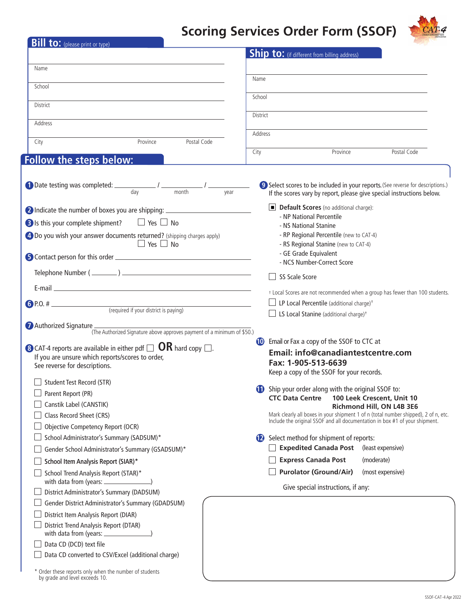## **Scoring Services Order Form (SSOF)**



| <b>Bill to:</b> (please print or type)                                                                                              |                                                                                                                                                          |  |  |  |
|-------------------------------------------------------------------------------------------------------------------------------------|----------------------------------------------------------------------------------------------------------------------------------------------------------|--|--|--|
|                                                                                                                                     | Ship to: (if different from billing address)                                                                                                             |  |  |  |
| Name                                                                                                                                |                                                                                                                                                          |  |  |  |
|                                                                                                                                     | Name                                                                                                                                                     |  |  |  |
| School                                                                                                                              | School                                                                                                                                                   |  |  |  |
| District                                                                                                                            |                                                                                                                                                          |  |  |  |
|                                                                                                                                     | District                                                                                                                                                 |  |  |  |
| Address                                                                                                                             | Address                                                                                                                                                  |  |  |  |
| Province<br>Postal Code<br>City                                                                                                     |                                                                                                                                                          |  |  |  |
|                                                                                                                                     | Province<br>Postal Code<br>City                                                                                                                          |  |  |  |
| Follow the steps below:                                                                                                             |                                                                                                                                                          |  |  |  |
| <b>1</b> Date testing was completed: $\frac{1}{\text{day}}$ / $\frac{1}{\text{month}}$ / $\frac{1}{\text{year}}$                    | 9 Select scores to be included in your reports. (See reverse for descriptions.)<br>If the scores vary by report, please give special instructions below. |  |  |  |
| 2 Indicate the number of boxes you are shipping: _______________________________                                                    | Default Scores (no additional charge):                                                                                                                   |  |  |  |
| B Is this your complete shipment? $\Box$ Yes $\Box$ No                                                                              | - NP National Percentile<br>- NS National Stanine                                                                                                        |  |  |  |
| 4 Do you wish your answer documents returned? (shipping charges apply)                                                              | - RP Regional Percentile (new to CAT-4)                                                                                                                  |  |  |  |
| $\Box$ Yes $\Box$ No                                                                                                                | - RS Regional Stanine (new to CAT-4)                                                                                                                     |  |  |  |
|                                                                                                                                     | - GE Grade Equivalent                                                                                                                                    |  |  |  |
|                                                                                                                                     | - NCS Number-Correct Score                                                                                                                               |  |  |  |
|                                                                                                                                     | SS Scale Score                                                                                                                                           |  |  |  |
|                                                                                                                                     | <sup>†</sup> Local Scores are not recommended when a group has fewer than 100 students.                                                                  |  |  |  |
|                                                                                                                                     | LP Local Percentile (additional charge) <sup>+</sup>                                                                                                     |  |  |  |
|                                                                                                                                     | $\Box$ LS Local Stanine (additional charge) <sup>†</sup>                                                                                                 |  |  |  |
| Authorized Signature _<br>(The Authorized Signature above approves payment of a minimum of \$50.)                                   |                                                                                                                                                          |  |  |  |
|                                                                                                                                     | Email or Fax a copy of the SSOF to CTC at<br>10                                                                                                          |  |  |  |
| <b>8</b> CAT-4 reports are available in either pdf $\Box$ OR hard copy $\Box$ .<br>If you are unsure which reports/scores to order, | Email: info@canadiantestcentre.com                                                                                                                       |  |  |  |
| See reverse for descriptions.                                                                                                       | Fax: 1-905-513-6639                                                                                                                                      |  |  |  |
| <b>Student Test Record (STR)</b>                                                                                                    | Keep a copy of the SSOF for your records.                                                                                                                |  |  |  |
| Parent Report (PR)                                                                                                                  | (b) Ship your order along with the original SSOF to:                                                                                                     |  |  |  |
| Canstik Label (CANSTIK)                                                                                                             | <b>CTC Data Centre</b><br>100 Leek Crescent, Unit 10                                                                                                     |  |  |  |
| Class Record Sheet (CRS)                                                                                                            | Richmond Hill, ON L4B 3E6<br>Mark clearly all boxes in your shipment 1 of n (total number shipped), 2 of n, etc.                                         |  |  |  |
| Objective Competency Report (OCR)                                                                                                   | Include the original SSOF and all documentation in box #1 of your shipment.                                                                              |  |  |  |
| School Administrator's Summary (SADSUM)*                                                                                            | Select method for shipment of reports:                                                                                                                   |  |  |  |
| Gender School Administrator's Summary (GSADSUM)*                                                                                    | <b>Expedited Canada Post</b><br>(least expensive)                                                                                                        |  |  |  |
| School Item Analysis Report (SIAR)*                                                                                                 | <b>Express Canada Post</b><br>(moderate)                                                                                                                 |  |  |  |
| School Trend Analysis Report (STAR)*                                                                                                | <b>Purolator (Ground/Air)</b><br>(most expensive)                                                                                                        |  |  |  |
|                                                                                                                                     | Give special instructions, if any:                                                                                                                       |  |  |  |
| District Administrator's Summary (DADSUM)                                                                                           |                                                                                                                                                          |  |  |  |
| Gender District Administrator's Summary (GDADSUM)                                                                                   |                                                                                                                                                          |  |  |  |
| District Item Analysis Report (DIAR)                                                                                                |                                                                                                                                                          |  |  |  |
| District Trend Analysis Report (DTAR)                                                                                               |                                                                                                                                                          |  |  |  |
| Data CD (DCD) text file                                                                                                             |                                                                                                                                                          |  |  |  |
| Data CD converted to CSV/Excel (additional charge)                                                                                  |                                                                                                                                                          |  |  |  |
| * Order these reports only when the number of students<br>by grade and level exceeds 10.                                            |                                                                                                                                                          |  |  |  |